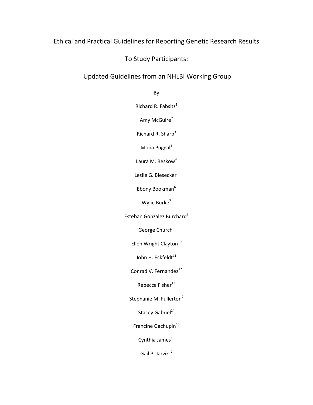# Ethical and Practical Guidelines for Reporting Genetic Research Results

To Study Participants:

# Updated Guidelines from an NHLBI Working Group

By

Richard R. Fabsitz $1$ 

Amy McGuire $^2$ 

Richard R. Sharp<sup>3</sup>

Mona Puggal<sup>1</sup>

Laura M. Beskow<sup>4</sup>

Leslie G. Biesecker<sup>5</sup>

Ebony Bookman<sup>6</sup>

Wylie Burke<sup>7</sup>

Esteban Gonzalez Burchard<sup>8</sup>

George Church<sup>9</sup>

Ellen Wright Clayton<sup>10</sup>

John H. Eckfeldt<sup>11</sup>

Conrad V. Fernandez<sup>12</sup>

Rebecca Fisher $^{13}$ 

Stephanie M. Fullerton<sup>7</sup>

Stacey Gabriel<sup>14</sup>

Francine Gachupin<sup>15</sup>

Cynthia James $^{16}$ 

Gail P. Jarvik<sup>17</sup>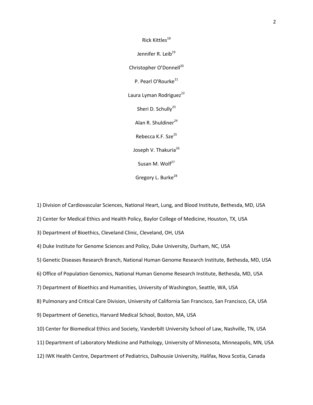Rick Kittles<sup>18</sup> Jennifer R. Leib<sup>19</sup> Christopher O'Donnell<sup>20</sup> P. Pearl O'Rourke<sup>21</sup> Laura Lyman Rodriguez<sup>22</sup> Sheri D. Schully $^{23}$ Alan R. Shuldiner $^{24}$ Rebecca K.F. Sze<sup>25</sup> Joseph V. Thakuria<sup>26</sup> Susan M. Wolf $^{27}$ Gregory L. Burke<sup>28</sup>

1) Division of Cardiovascular Sciences, National Heart, Lung, and Blood Institute, Bethesda, MD, USA

2) Center for Medical Ethics and Health Policy, Baylor College of Medicine, Houston, TX, USA

3) Department of Bioethics, Cleveland Clinic, Cleveland, OH, USA

4) Duke Institute for Genome Sciences and Policy, Duke University, Durham, NC, USA

5) Genetic Diseases Research Branch, National Human Genome Research Institute, Bethesda, MD, USA

6) Office of Population Genomics, National Human Genome Research Institute, Bethesda, MD, USA

7) Department of Bioethics and Humanities, University of Washington, Seattle, WA, USA

8) Pulmonary and Critical Care Division, University of California San Francisco, San Francisco, CA, USA

9) Department of Genetics, Harvard Medical School, Boston, MA, USA

10) Center for Biomedical Ethics and Society, Vanderbilt University School of Law, Nashville, TN, USA

11) Department of Laboratory Medicine and Pathology, University of Minnesota, Minneapolis, MN, USA

12) IWK Health Centre, Department of Pediatrics, Dalhousie University, Halifax, Nova Scotia, Canada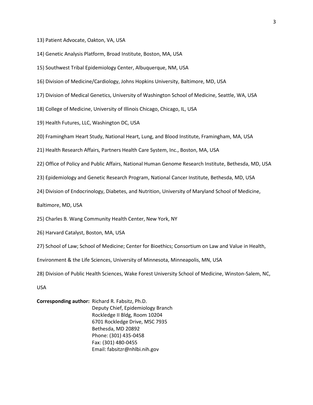- 13) Patient Advocate, Oakton, VA, USA
- 14) Genetic Analysis Platform, Broad Institute, Boston, MA, USA
- 15) Southwest Tribal Epidemiology Center, Albuquerque, NM, USA
- 16) Division of Medicine/Cardiology, Johns Hopkins University, Baltimore, MD, USA
- 17) Division of Medical Genetics, University of Washington School of Medicine, Seattle, WA, USA
- 18) College of Medicine, University of Illinois Chicago, Chicago, IL, USA
- 19) Health Futures, LLC, Washington DC, USA
- 20) Framingham Heart Study, National Heart, Lung, and Blood Institute, Framingham, MA, USA
- 21) Health Research Affairs, Partners Health Care System, Inc., Boston, MA, USA
- 22) Office of Policy and Public Affairs, National Human Genome Research Institute, Bethesda, MD, USA
- 23) Epidemiology and Genetic Research Program, National Cancer Institute, Bethesda, MD, USA
- 24) Division of Endocrinology, Diabetes, and Nutrition, University of Maryland School of Medicine,

Baltimore, MD, USA

- 25) Charles B. Wang Community Health Center, New York, NY
- 26) Harvard Catalyst, Boston, MA, USA
- 27) School of Law; School of Medicine; Center for Bioethics; Consortium on Law and Value in Health,

Environment & the Life Sciences, University of Minnesota, Minneapolis, MN, USA

28) Division of Public Health Sciences, Wake Forest University School of Medicine, Winston-Salem, NC,

USA

### **Corresponding author:** Richard R. Fabsitz, Ph.D. Deputy Chief, Epidemiology Branch Rockledge II Bldg, Room 10204 6701 Rockledge Drive, MSC 7935 Bethesda, MD 20892 Phone: (301) 435-0458 Fax: (301) 480-0455 Email: fabsitzr@nhlbi.nih.gov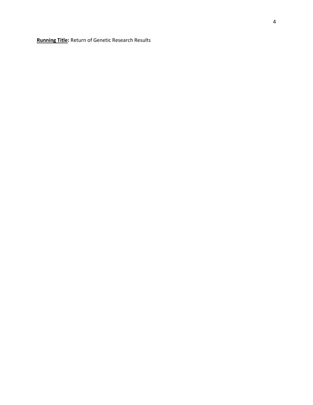**Running Title:** Return of Genetic Research Results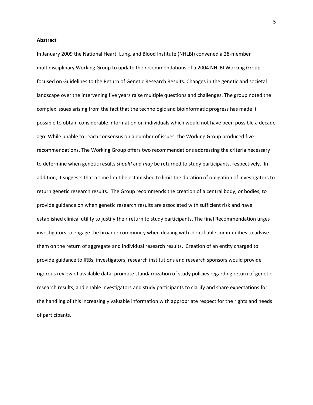#### **Abstract**

In January 2009 the National Heart, Lung, and Blood Institute (NHLBI) convened a 28-member multidisciplinary Working Group to update the recommendations of a 2004 NHLBI Working Group focused on Guidelines to the Return of Genetic Research Results. Changes in the genetic and societal landscape over the intervening five years raise multiple questions and challenges. The group noted the complex issues arising from the fact that the technologic and bioinformatic progress has made it possible to obtain considerable information on individuals which would not have been possible a decade ago. While unable to reach consensus on a number of issues, the Working Group produced five recommendations. The Working Group offers two recommendations addressing the criteria necessary to determine when genetic results *should* and *may* be returned to study participants, respectively. In addition, it suggests that a time limit be established to limit the duration of obligation of investigators to return genetic research results. The Group recommends the creation of a central body, or bodies, to provide guidance on when genetic research results are associated with sufficient risk and have established clinical utility to justify their return to study participants. The final Recommendation urges investigators to engage the broader community when dealing with identifiable communities to advise them on the return of aggregate and individual research results. Creation of an entity charged to provide guidance to IRBs, investigators, research institutions and research sponsors would provide rigorous review of available data, promote standardization of study policies regarding return of genetic research results, and enable investigators and study participants to clarify and share expectations for the handling of this increasingly valuable information with appropriate respect for the rights and needs of participants.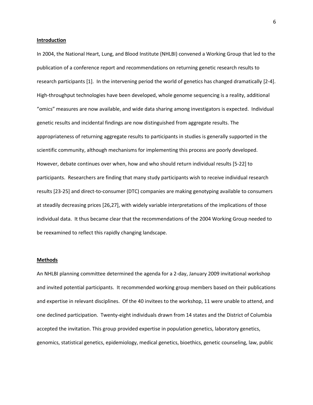**Introduction**

In 2004, the National Heart, Lung, and Blood Institute (NHLBI) convened a Working Group that led to the publication of a conference report and recommendations on returning genetic research results to research participants [1]. In the intervening period the world of genetics has changed dramatically [2-4]. High-throughput technologies have been developed, whole genome sequencing is a reality, additional "omics" measures are now available, and wide data sharing among investigators is expected. Individual genetic results and incidental findings are now distinguished from aggregate results. The appropriateness of returning aggregate results to participants in studies is generally supported in the scientific community, although mechanisms for implementing this process are poorly developed. However, debate continues over when, how and who should return individual results [5-22] to participants. Researchers are finding that many study participants wish to receive individual research results [23-25] and direct-to-consumer (DTC) companies are making genotyping available to consumers at steadily decreasing prices [26,27], with widely variable interpretations of the implications of those individual data. It thus became clear that the recommendations of the 2004 Working Group needed to be reexamined to reflect this rapidly changing landscape.

#### **Methods**

An NHLBI planning committee determined the agenda for a 2-day, January 2009 invitational workshop and invited potential participants. It recommended working group members based on their publications and expertise in relevant disciplines. Of the 40 invitees to the workshop, 11 were unable to attend, and one declined participation. Twenty-eight individuals drawn from 14 states and the District of Columbia accepted the invitation. This group provided expertise in population genetics, laboratory genetics, genomics, statistical genetics, epidemiology, medical genetics, bioethics, genetic counseling, law, public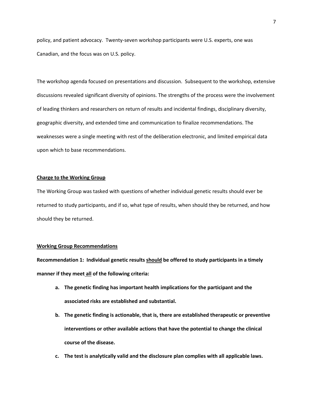policy, and patient advocacy. Twenty-seven workshop participants were U.S. experts, one was Canadian, and the focus was on U.S. policy.

The workshop agenda focused on presentations and discussion. Subsequent to the workshop, extensive discussions revealed significant diversity of opinions. The strengths of the process were the involvement of leading thinkers and researchers on return of results and incidental findings, disciplinary diversity, geographic diversity, and extended time and communication to finalize recommendations. The weaknesses were a single meeting with rest of the deliberation electronic, and limited empirical data upon which to base recommendations.

#### **Charge to the Working Group**

The Working Group was tasked with questions of whether individual genetic results should ever be returned to study participants, and if so, what type of results, when should they be returned, and how should they be returned.

#### **Working Group Recommendations**

**Recommendation 1: Individual genetic results should be offered to study participants in a timely manner if they meet all of the following criteria:**

- **a. The genetic finding has important health implications for the participant and the associated risks are established and substantial.**
- **b. The genetic finding is actionable, that is, there are established therapeutic or preventive interventions or other available actions that have the potential to change the clinical course of the disease.**
- **c. The test is analytically valid and the disclosure plan complies with all applicable laws.**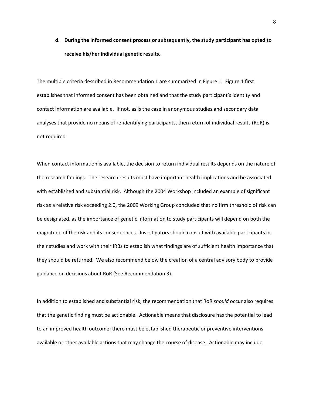**d. During the informed consent process or subsequently, the study participant has opted to receive his/her individual genetic results.**

The multiple criteria described in Recommendation 1 are summarized in Figure 1. Figure 1 first establ**i**shes that informed consent has been obtained and that the study participant's identity and contact information are available. If not, as is the case in anonymous studies and secondary data analyses that provide no means of re-identifying participants, then return of individual results (RoR) is not required.

When contact information is available, the decision to return individual results depends on the nature of the research findings. The research results must have important health implications and be associated with established and substantial risk. Although the 2004 Workshop included an example of significant risk as a relative risk exceeding 2.0, the 2009 Working Group concluded that no firm threshold of risk can be designated, as the importance of genetic information to study participants will depend on both the magnitude of the risk and its consequences. Investigators should consult with available participants in their studies and work with their IRBs to establish what findings are of sufficient health importance that they should be returned. We also recommend below the creation of a central advisory body to provide guidance on decisions about RoR (See Recommendation 3).

In addition to established and substantial risk, the recommendation that RoR *should* occur also requires that the genetic finding must be actionable. Actionable means that disclosure has the potential to lead to an improved health outcome; there must be established therapeutic or preventive interventions available or other available actions that may change the course of disease. Actionable may include

8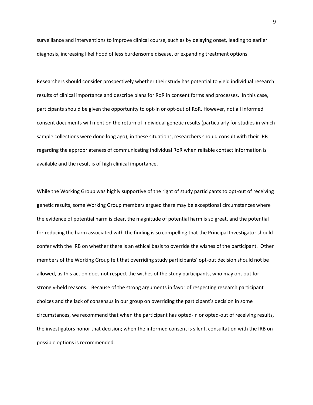surveillance and interventions to improve clinical course, such as by delaying onset, leading to earlier diagnosis, increasing likelihood of less burdensome disease, or expanding treatment options.

Researchers should consider prospectively whether their study has potential to yield individual research results of clinical importance and describe plans for RoR in consent forms and processes. In this case, participants should be given the opportunity to opt-in or opt-out of RoR. However, not all informed consent documents will mention the return of individual genetic results (particularly for studies in which sample collections were done long ago); in these situations, researchers should consult with their IRB regarding the appropriateness of communicating individual RoR when reliable contact information is available and the result is of high clinical importance.

While the Working Group was highly supportive of the right of study participants to opt-out of receiving genetic results, some Working Group members argued there may be exceptional circumstances where the evidence of potential harm is clear, the magnitude of potential harm is so great, and the potential for reducing the harm associated with the finding is so compelling that the Principal Investigator should confer with the IRB on whether there is an ethical basis to override the wishes of the participant. Other members of the Working Group felt that overriding study participants' opt-out decision should not be allowed, as this action does not respect the wishes of the study participants, who may opt out for strongly-held reasons. Because of the strong arguments in favor of respecting research participant choices and the lack of consensus in our group on overriding the participant's decision in some circumstances, we recommend that when the participant has opted-in or opted-out of receiving results, the investigators honor that decision; when the informed consent is silent, consultation with the IRB on possible options is recommended.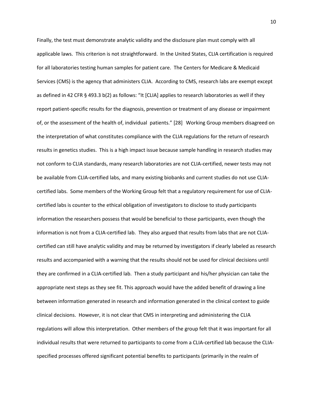Finally, the test must demonstrate analytic validity and the disclosure plan must comply with all applicable laws. This criterion is not straightforward. In the United States, CLIA certification is required for all laboratories testing human samples for patient care. The Centers for Medicare & Medicaid Services (CMS) is the agency that administers CLIA. According to CMS, research labs are exempt except as defined in 42 CFR § 493.3 b(2) as follows: "It [CLIA] applies to research laboratories as well if they report patient-specific results for the diagnosis, prevention or treatment of any disease or impairment of, or the assessment of the health of, individual patients." [28] Working Group members disagreed on the interpretation of what constitutes compliance with the CLIA regulations for the return of research results in genetics studies. This is a high impact issue because sample handling in research studies may not conform to CLIA standards, many research laboratories are not CLIA-certified, newer tests may not be available from CLIA-certified labs, and many existing biobanks and current studies do not use CLIAcertified labs. Some members of the Working Group felt that a regulatory requirement for use of CLIAcertified labs is counter to the ethical obligation of investigators to disclose to study participants information the researchers possess that would be beneficial to those participants, even though the information is not from a CLIA-certified lab. They also argued that results from labs that are not CLIAcertified can still have analytic validity and may be returned by investigators if clearly labeled as research results and accompanied with a warning that the results should not be used for clinical decisions until they are confirmed in a CLIA-certified lab. Then a study participant and his/her physician can take the appropriate next steps as they see fit. This approach would have the added benefit of drawing a line between information generated in research and information generated in the clinical context to guide clinical decisions. However, it is not clear that CMS in interpreting and administering the CLIA regulations will allow this interpretation. Other members of the group felt that it was important for all individual results that were returned to participants to come from a CLIA-certified lab because the CLIAspecified processes offered significant potential benefits to participants (primarily in the realm of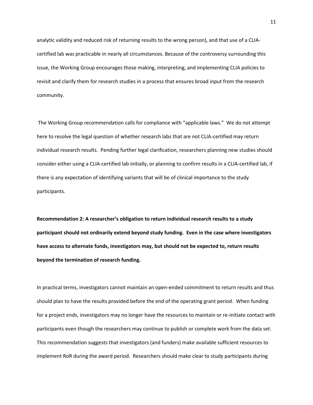analytic validity and reduced risk of returning results to the wrong person), and that use of a CLIAcertified lab was practicable in nearly all circumstances. Because of the controversy surrounding this issue, the Working Group encourages those making, interpreting, and implementing CLIA policies to revisit and clarify them for research studies in a process that ensures broad input from the research community.

The Working Group recommendation calls for compliance with "applicable laws." We do not attempt here to resolve the legal question of whether research labs that are not CLIA-certified may return individual research results. Pending further legal clarification, researchers planning new studies should consider either using a CLIA-certified lab initially, or planning to confirm results in a CLIA-certified lab, if there is any expectation of identifying variants that will be of clinical importance to the study participants.

**Recommendation 2: A researcher's obligation to return individual research results to a study participant should not ordinarily extend beyond study funding. Even in the case where investigators have access to alternate funds, investigators may, but should not be expected to, return results beyond the termination of research funding.** 

In practical terms, investigators cannot maintain an open-ended commitment to return results and thus should plan to have the results provided before the end of the operating grant period. When funding for a project ends, investigators may no longer have the resources to maintain or re-initiate contact with participants even though the researchers may continue to publish or complete work from the data set. This recommendation suggests that investigators (and funders) make available sufficient resources to implement RoR during the award period. Researchers should make clear to study participants during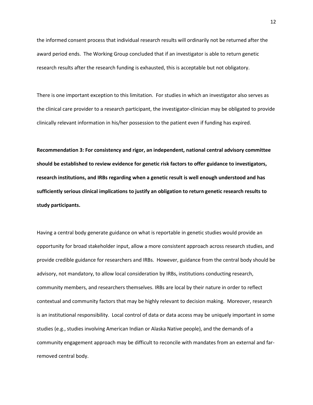the informed consent process that individual research results will ordinarily not be returned after the award period ends. The Working Group concluded that if an investigator is able to return genetic research results after the research funding is exhausted, this is acceptable but not obligatory.

There is one important exception to this limitation. For studies in which an investigator also serves as the clinical care provider to a research participant, the investigator-clinician may be obligated to provide clinically relevant information in his/her possession to the patient even if funding has expired.

**Recommendation 3: For consistency and rigor, an independent, national central advisory committee should be established to review evidence for genetic risk factors to offer guidance to investigators, research institutions, and IRBs regarding when a genetic result is well enough understood and has sufficiently serious clinical implications to justify an obligation to return genetic research results to study participants.**

Having a central body generate guidance on what is reportable in genetic studies would provide an opportunity for broad stakeholder input, allow a more consistent approach across research studies, and provide credible guidance for researchers and IRBs. However, guidance from the central body should be advisory, not mandatory, to allow local consideration by IRBs, institutions conducting research, community members, and researchers themselves. IRBs are local by their nature in order to reflect contextual and community factors that may be highly relevant to decision making. Moreover, research is an institutional responsibility. Local control of data or data access may be uniquely important in some studies (e.g., studies involving American Indian or Alaska Native people), and the demands of a community engagement approach may be difficult to reconcile with mandates from an external and farremoved central body.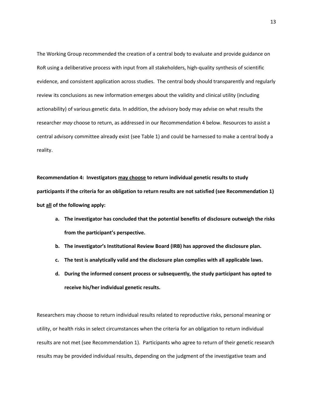The Working Group recommended the creation of a central body to evaluate and provide guidance on RoR using a deliberative process with input from all stakeholders, high-quality synthesis of scientific evidence, and consistent application across studies. The central body should transparently and regularly review its conclusions as new information emerges about the validity and clinical utility (including actionability) of various genetic data. In addition, the advisory body may advise on what results the researcher *may* choose to return, as addressed in our Recommendation 4 below. Resources to assist a central advisory committee already exist (see Table 1) and could be harnessed to make a central body a reality.

**Recommendation 4: Investigators may choose to return individual genetic results to study participants if the criteria for an obligation to return results are not satisfied (see Recommendation 1) but all of the following apply:**

- **a. The investigator has concluded that the potential benefits of disclosure outweigh the risks from the participant's perspective.**
- **b. The investigator's Institutional Review Board (IRB) has approved the disclosure plan.**
- **c. The test is analytically valid and the disclosure plan complies with all applicable laws.**
- **d. During the informed consent process or subsequently, the study participant has opted to receive his/her individual genetic results.**

Researchers may choose to return individual results related to reproductive risks, personal meaning or utility, or health risks in select circumstances when the criteria for an obligation to return individual results are not met (see Recommendation 1). Participants who agree to return of their genetic research results may be provided individual results, depending on the judgment of the investigative team and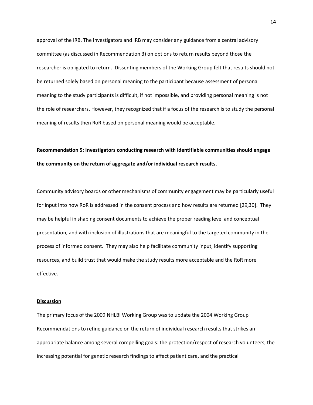approval of the IRB. The investigators and IRB may consider any guidance from a central advisory committee (as discussed in Recommendation 3) on options to return results beyond those the researcher is obligated to return. Dissenting members of the Working Group felt that results should not be returned solely based on personal meaning to the participant because assessment of personal meaning to the study participants is difficult, if not impossible, and providing personal meaning is not the role of researchers. However, they recognized that if a focus of the research is to study the personal meaning of results then RoR based on personal meaning would be acceptable.

# **Recommendation 5: Investigators conducting research with identifiable communities should engage the community on the return of aggregate and/or individual research results.**

Community advisory boards or other mechanisms of community engagement may be particularly useful for input into how RoR is addressed in the consent process and how results are returned [29,30]. They may be helpful in shaping consent documents to achieve the proper reading level and conceptual presentation, and with inclusion of illustrations that are meaningful to the targeted community in the process of informed consent. They may also help facilitate community input, identify supporting resources, and build trust that would make the study results more acceptable and the RoR more effective.

#### **Discussion**

The primary focus of the 2009 NHLBI Working Group was to update the 2004 Working Group Recommendations to refine guidance on the return of individual research results that strikes an appropriate balance among several compelling goals: the protection/respect of research volunteers, the increasing potential for genetic research findings to affect patient care, and the practical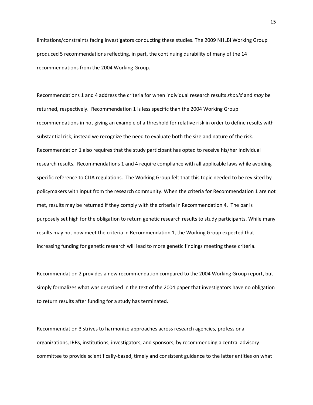limitations/constraints facing investigators conducting these studies. The 2009 NHLBI Working Group produced 5 recommendations reflecting, in part, the continuing durability of many of the 14 recommendations from the 2004 Working Group.

Recommendations 1 and 4 address the criteria for when individual research results *should* and *may* be returned, respectively. Recommendation 1 is less specific than the 2004 Working Group recommendations in not giving an example of a threshold for relative risk in order to define results with substantial risk; instead we recognize the need to evaluate both the size and nature of the risk. Recommendation 1 also requires that the study participant has opted to receive his/her individual research results. Recommendations 1 and 4 require compliance with all applicable laws while avoiding specific reference to CLIA regulations. The Working Group felt that this topic needed to be revisited by policymakers with input from the research community. When the criteria for Recommendation 1 are not met, results may be returned if they comply with the criteria in Recommendation 4. The bar is purposely set high for the obligation to return genetic research results to study participants. While many results may not now meet the criteria in Recommendation 1, the Working Group expected that increasing funding for genetic research will lead to more genetic findings meeting these criteria.

Recommendation 2 provides a new recommendation compared to the 2004 Working Group report, but simply formalizes what was described in the text of the 2004 paper that investigators have no obligation to return results after funding for a study has terminated.

Recommendation 3 strives to harmonize approaches across research agencies, professional organizations, IRBs, institutions, investigators, and sponsors, by recommending a central advisory committee to provide scientifically-based, timely and consistent guidance to the latter entities on what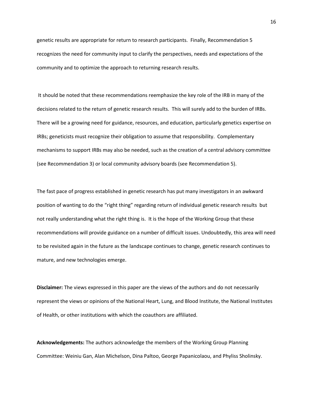genetic results are appropriate for return to research participants. Finally, Recommendation 5 recognizes the need for community input to clarify the perspectives, needs and expectations of the community and to optimize the approach to returning research results.

It should be noted that these recommendations reemphasize the key role of the IRB in many of the decisions related to the return of genetic research results. This will surely add to the burden of IRBs. There will be a growing need for guidance, resources, and education, particularly genetics expertise on IRBs; geneticists must recognize their obligation to assume that responsibility. Complementary mechanisms to support IRBs may also be needed, such as the creation of a central advisory committee (see Recommendation 3) or local community advisory boards (see Recommendation 5).

The fast pace of progress established in genetic research has put many investigators in an awkward position of wanting to do the "right thing" regarding return of individual genetic research results but not really understanding what the right thing is. It is the hope of the Working Group that these recommendations will provide guidance on a number of difficult issues. Undoubtedly, this area will need to be revisited again in the future as the landscape continues to change, genetic research continues to mature, and new technologies emerge.

**Disclaimer:** The views expressed in this paper are the views of the authors and do not necessarily represent the views or opinions of the National Heart, Lung, and Blood Institute, the National Institutes of Health, or other institutions with which the coauthors are affiliated.

**Acknowledgements:** The authors acknowledge the members of the Working Group Planning Committee: Weiniu Gan, Alan Michelson, Dina Paltoo, George Papanicolaou, and Phyliss Sholinsky.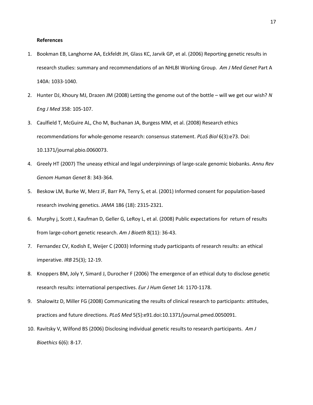#### **References**

- 1. Bookman EB, Langhorne AA, Eckfeldt JH, Glass KC, Jarvik GP, et al. (2006) Reporting genetic results in research studies: summary and recommendations of an NHLBI Working Group. *Am J Med Genet* Part A 140A: 1033-1040.
- 2. Hunter DJ, Khoury MJ, Drazen JM (2008) Letting the genome out of the bottle will we get our wish? *N Eng J Med* 358: 105-107.
- 3. Caulfield T, McGuire AL, Cho M, Buchanan JA, Burgess MM, et al. (2008) Research ethics recommendations for whole-genome research: consensus statement. *PLoS Biol* 6(3):e73. Doi: 10.1371/journal.pbio.0060073.
- 4. Greely HT (2007) The uneasy ethical and legal underpinnings of large-scale genomic biobanks. *Annu Rev Genom Human Genet* 8: 343-364.
- 5. Beskow LM, Burke W, Merz JF, Barr PA, Terry S, et al. (2001) Informed consent for population-based research involving genetics. *JAMA* 186 (18): 2315-2321.
- 6. Murphy j, Scott J, Kaufman D, Geller G, LeRoy L, et al. (2008) Public expectations for return of results from large-cohort genetic research. *Am J Bioeth* 8(11): 36-43.
- 7. Fernandez CV, Kodish E, Weijer C (2003) Informing study participants of research results: an ethical imperative. *IRB* 25(3); 12-19.
- 8. Knoppers BM, Joly Y, Simard J, Durocher F (2006) The emergence of an ethical duty to disclose genetic research results: international perspectives. *Eur J Hum Genet* 14: 1170-1178.
- 9. Shalowitz D, Miller FG (2008) Communicating the results of clinical research to participants: attitudes, practices and future directions. *PLoS Med* 5(5):e91.doi:10.1371/journal.pmed.0050091.
- 10. Ravitsky V, Wilfond BS (2006) Disclosing individual genetic results to research participants. *Am J Bioethics* 6(6): 8-17.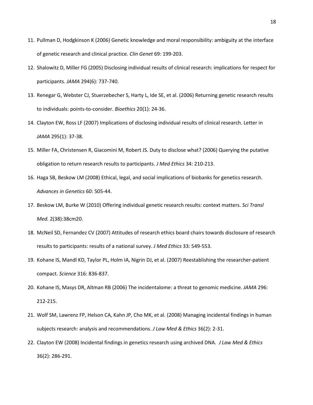- 11. Pullman D, Hodgkinson K (2006) Genetic knowledge and moral responsibility: ambiguity at the interface of genetic research and clinical practice. *Clin Genet* 69: 199-203.
- 12. Shalowitz D, Miller FG (2005) Disclosing individual results of clinical research: implications for respect for participants. *JAMA* 294(6): 737-740.
- 13. Renegar G, Webster CJ, Stuerzebecher S, Harty L, Ide SE, et al. (2006) Returning genetic research results to individuals: points-to-consider. *Bioethics* 20(1): 24-36.
- 14. Clayton EW, Ross LF (2007) Implications of disclosing individual results of clinical research. Letter in *JAMA* 295(1): 37-38.
- 15. Miller FA, Christensen R, Giacomini M, Robert JS. Duty to disclose what? (2006) Querying the putative obligation to return research results to participants. *J Med Ethics* 34: 210-213.
- 16. Haga SB, Beskow LM (2008) Ethical, legal, and social implications of biobanks for genetics research. *Advances in Genetics* 60: 505-44.
- 17. Beskow LM, Burke W (2010) Offering individual genetic research results: context matters. *Sci Transl Med.* 2(38):38cm20.
- 18. McNeil SD, Fernandez CV (2007) Attitudes of research ethics board chairs towards disclosure of research results to participants: results of a national survey. *J Med Ethics* 33: 549-553.
- 19. Kohane IS, Mandl KD, Taylor PL, Holm IA, Nigrin DJ, et al. (2007) Reestablishing the researcher-patient compact. *Science* 316: 836-837.
- 20. Kohane IS, Masys DR, Altman RB (2006) The incidentalome: a threat to genomic medicine. *JAMA* 296: 212-215.
- 21. Wolf SM, Lawrenz FP, Helson CA, Kahn JP, Cho MK, et al. (2008) Managing incidental findings in human subjects research: analysis and recommendations. *J Law Med & Ethics* 36(2): 2-31.
- 22. Clayton EW (2008) Incidental findings in genetics research using archived DNA. *J Law Med & Ethics* 36(2): 286-291.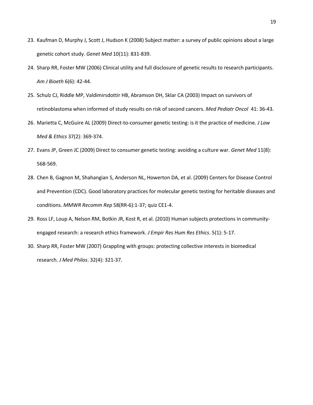- 23. Kaufman D, Murphy J, Scott J, Hudson K (2008) Subject matter: a survey of public opinions about a large genetic cohort study. *Genet Med* 10(11): 831-839.
- 24. Sharp RR, Foster MW (2006) Clinical utility and full disclosure of genetic results to research participants. *Am J Bioeth* 6(6): 42-44.
- 25. Schulz CJ, Riddle MP, Valdimirsdottir HB, Abramson DH, Sklar CA (2003) Impact on survivors of retinoblastoma when informed of study results on risk of second cancers. *Med Pediatr Oncol* 41: 36-43.
- 26. Marietta C, McGuire AL (2009) Direct-to-consumer genetic testing: is it the practice of medicine. *J Law Med & Ethics* 37(2): 369-374.
- 27. Evans JP, Green JC (2009) Direct to consumer genetic testing: avoiding a culture war. *Genet Med* 11(8): 568-569.
- 28. Chen B, Gagnon M, Shahangian S, Anderson NL, Howerton DA, et al. (2009) Centers for Disease Control and Prevention (CDC). Good laboratory practices for molecular genetic testing for heritable diseases and conditions*. MMWR Recomm Rep* 58(RR-6):1-37; quiz CE1-4.
- 29. Ross LF, Loup A, Nelson RM, Botkin JR, Kost R, et al. (2010) Human subjects protections in communityengaged research: a research ethics framework. *J Empir Res Hum Res Ethics*. 5(1): 5-17.
- 30. Sharp RR, Foster MW (2007) Grappling with groups: protecting collective interests in biomedical research. *J Med Philos*. 32(4): 321-37.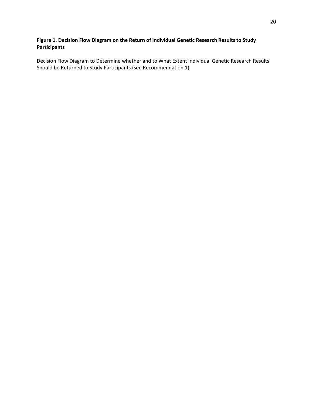## **Figure 1. Decision Flow Diagram on the Return of Individual Genetic Research Results to Study Participants**

Decision Flow Diagram to Determine whether and to What Extent Individual Genetic Research Results Should be Returned to Study Participants (see Recommendation 1)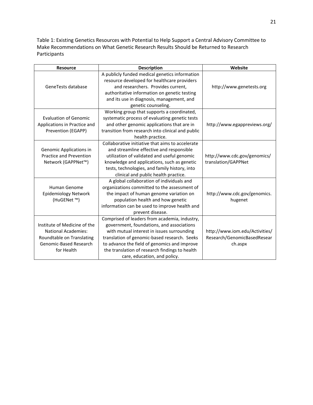Table 1: Existing Genetics Resources with Potential to Help Support a Central Advisory Committee to Make Recommendations on What Genetic Research Results Should be Returned to Research Participants

| <b>Resource</b>                                                                                                                 | <b>Description</b>                                                                                                                                                                                                                                                                                                         | Website                                                                  |
|---------------------------------------------------------------------------------------------------------------------------------|----------------------------------------------------------------------------------------------------------------------------------------------------------------------------------------------------------------------------------------------------------------------------------------------------------------------------|--------------------------------------------------------------------------|
| GeneTests database                                                                                                              | A publicly funded medical genetics information<br>resource developed for healthcare providers<br>and researchers. Provides current,<br>authoritative information on genetic testing<br>and its use in diagnosis, management, and<br>genetic counseling.                                                                    | http://www.genetests.org                                                 |
| <b>Evaluation of Genomic</b><br>Applications in Practice and<br>Prevention (EGAPP)                                              | Working group that supports a coordinated,<br>systematic process of evaluating genetic tests<br>and other genomic applications that are in<br>transition from research into clinical and public<br>health practice.                                                                                                        | http://www.egappreviews.org/                                             |
| Genomic Applications in<br><b>Practice and Prevention</b><br>Network (GAPPNet™)                                                 | Collaborative initiative that aims to accelerate<br>and streamline effective and responsible<br>utilization of validated and useful genomic<br>knowledge and applications, such as genetic<br>tests, technologies, and family history, into<br>clinical and public health practice.                                        | http://www.cdc.gov/genomics/<br>translation/GAPPNet                      |
| <b>Human Genome</b><br><b>Epidemiology Network</b><br>(HuGENet ™)                                                               | A global collaboration of individuals and<br>organizations committed to the assessment of<br>the impact of human genome variation on<br>population health and how genetic<br>information can be used to improve health and<br>prevent disease.                                                                             | http://www.cdc.gov/genomics.<br>hugenet                                  |
| Institute of Medicine of the<br><b>National Academies:</b><br>Roundtable on Translating<br>Genomic-Based Research<br>for Health | Comprised of leaders from academia, industry,<br>government, foundations, and associations<br>with mutual interest in issues surrounding<br>translation of genomic-based research. Seeks<br>to advance the field of genomics and improve<br>the translation of research findings to health<br>care, education, and policy. | http://www.iom.edu/Activities/<br>Research/GenomicBasedResear<br>ch.aspx |